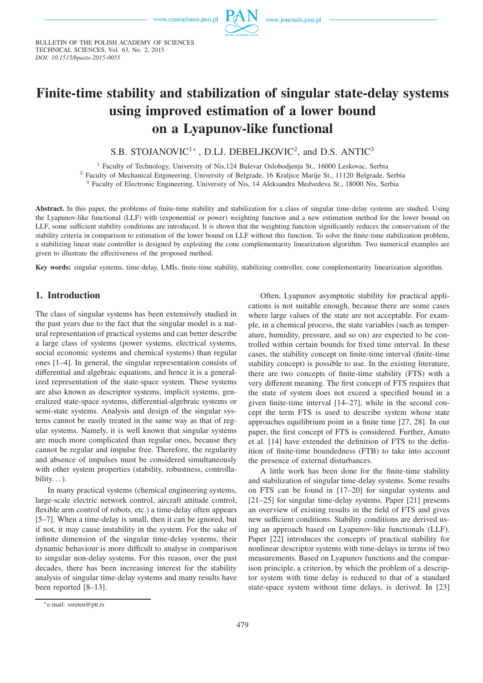

www.journals.pan.pl

BULLETIN OF THE POLISH ACADEMY OF SCIENCES TECHNICAL SCIENCES, Vol. 63, No. 2, 2015 *DOI: 10.1515/bpasts-2015-0055*

# **Finite-time stability and stabilization of singular state-delay systems using improved estimation of a lower bound on a Lyapunov-like functional**

S.B. STOJANOVIC<sup>1</sup>\*, D.LJ. DEBELJKOVIC<sup>2</sup>, and D.S. ANTIC<sup>3</sup>

<sup>1</sup> Faculty of Technology, University of Nis, 124 Bulevar Oslobodjenja St., 16000 Leskovac, Serbia

2 Faculty of Mechanical Engineering, University of Belgrade, 16 Kraljice Marije St., 11120 Belgrade, Serbia

<sup>3</sup> Faculty of Electronic Engineering, University of Nis, 14 Aleksandra Medvedeva St., 18000 Nis, Serbia

**Abstract.** In this paper, the problems of finite-time stability and stabilization for a class of singular time-delay systems are studied. Using the Lyapunov-like functional (LLF) with (exponential or power) weighting function and a new estimation method for the lower bound on LLF, some sufficient stability conditions are introduced. It is shown that the weighting function significantly reduces the conservatism of the stability criteria in comparison to estimation of the lower bound on LLF without this function. To solve the finite-time stabilization problem, a stabilizing linear state controller is designed by exploiting the cone complementarity linearization algorithm. Two numerical examples are given to illustrate the effectiveness of the proposed method.

**Key words:** singular systems, time-delay, LMIs, finite-time stability, stabilizing controller, cone complementarity linearization algorithm.

# **1. Introduction**

The class of singular systems has been extensively studied in the past years due to the fact that the singular model is a natural representation of practical systems and can better describe a large class of systems (power systems, electrical systems, social economic systems and chemical systems) than regular ones [1–4]. In general, the singular representation consists of differential and algebraic equations, and hence it is a generalized representation of the state-space system. These systems are also known as descriptor systems, implicit systems, generalized state-space systems, differential-algebraic systems or semi-state systems. Analysis and design of the singular systems cannot be easily treated in the same way as that of regular systems. Namely, it is well known that singular systems are much more complicated than regular ones, because they cannot be regular and impulse free. Therefore, the regularity and absence of impulses must be considered simultaneously with other system properties (stability, robustness, controllability.  $\ldots$ ).

In many practical systems (chemical engineering systems, large-scale electric network control, aircraft attitude control, flexible arm control of robots, etc.) a time-delay often appears [5–7]. When a time-delay is small, then it can be ignored, but if not, it may cause instability in the system. For the sake of infinite dimension of the singular time-delay systems, their dynamic behaviour is more difficult to analyse in comparison to singular non-delay systems. For this reason, over the past decades, there has been increasing interest for the stability analysis of singular time-delay systems and many results have been reported [8–13].

Often, Lyapunov asymptotic stability for practical applications is not suitable enough, because there are some cases where large values of the state are not acceptable. For example, in a chemical process, the state variables (such as temperature, humidity, pressure, and so on) are expected to be controlled within certain bounds for fixed time interval. In these cases, the stability concept on finite-time interval (finite-time stability concept) is possible to use. In the existing literature, there are two concepts of finite-time stability (FTS) with a very different meaning. The first concept of FTS requires that the state of system does not exceed a specified bound in a given finite-time interval [14–27], while in the second concept the term FTS is used to describe system whose state approaches equilibrium point in a finite time [27, 28]. In our paper, the first concept of FTS is considered. Further, Amato et al. [14] have extended the definition of FTS to the definition of finite-time boundedness (FTB) to take into account the presence of external disturbances.

A little work has been done for the finite-time stability and stabilization of singular time-delay systems. Some results on FTS can be found in [17–20] for singular systems and [21–25] for singular time-delay systems. Paper [21] presents an overview of existing results in the field of FTS and gives new sufficient conditions. Stability conditions are derived using an approach based on Lyapunov-like functionals (LLF). Paper [22] introduces the concepts of practical stability for nonlinear descriptor systems with time-delays in terms of two measurements. Based on Lyapunov functions and the comparison principle, a criterion, by which the problem of a descriptor system with time delay is reduced to that of a standard state-space system without time delays, is derived. In [23]

<sup>∗</sup>e-mail: ssreten@ptt.rs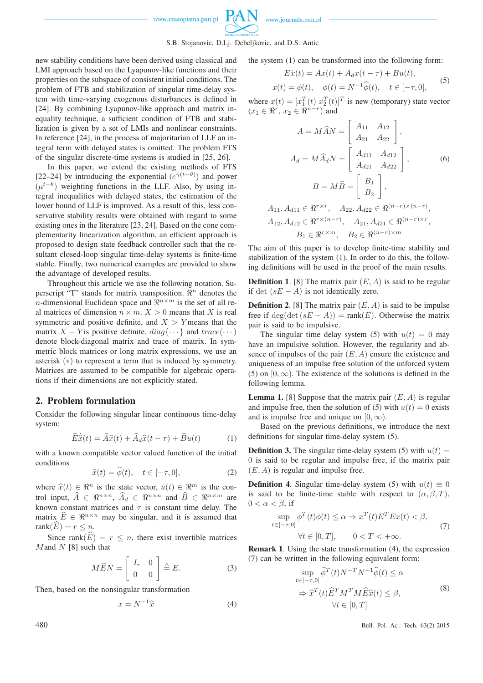

 $A_{11}$ 

 $A_{12}$ 

new stability conditions have been derived using classical and LMI approach based on the Lyapunov-like functions and their properties on the subspace of consistent initial conditions. The problem of FTB and stabilization of singular time-delay system with time-varying exogenous disturbances is defined in [24]. By combining Lyapunov-like approach and matrix inequality technique, a sufficient condition of FTB and stabilization is given by a set of LMIs and nonlinear constraints. In reference [24], in the process of majoritarian of LLF an integral term with delayed states is omitted. The problem FTS of the singular discrete-time systems is studied in [25, 26].

In this paper, we extend the existing methods of FTS [22–24] by introducing the exponential  $(e^{\gamma(t-\theta)})$  and power  $(\mu^{t-\theta})$  weighting functions in the LLF. Also, by using integral inequalities with delayed states, the estimation of the lower bound of LLF is improved. As a result of this, less conservative stability results were obtained with regard to some existing ones in the literature [23, 24]. Based on the cone complementarity linearization algorithm, an efficient approach is proposed to design state feedback controller such that the resultant closed-loop singular time-delay systems is finite-time stable. Finally, two numerical examples are provided to show the advantage of developed results.

Throughout this article we use the following notation. Superscript "T" stands for matrix transposition.  $\mathbb{R}^n$  denotes the *n*-dimensional Euclidean space and  $\mathbb{R}^{n \times m}$  is the set of all real matrices of dimension  $n \times m$ .  $X > 0$  means that X is real symmetric and positive definite, and  $X > Y$  means that the matrix  $X - Y$  is positive definite.  $diag\{\cdots\}$  and  $trace(\cdots)$ denote block-diagonal matrix and trace of matrix. In symmetric block matrices or long matrix expressions, we use an asterisk (∗) to represent a term that is induced by symmetry. Matrices are assumed to be compatible for algebraic operations if their dimensions are not explicitly stated.

#### **2. Problem formulation**

Consider the following singular linear continuous time-delay system:

$$
\widehat{E}\dot{\widehat{x}}(t) = \widehat{A}\widehat{x}(t) + \widehat{A}_d\widehat{x}(t-\tau) + \widehat{B}u(t) \tag{1}
$$

with a known compatible vector valued function of the initial conditions

$$
\widehat{x}(t) = \widehat{\phi}(t), \quad t \in [-\tau, 0], \tag{2}
$$

where  $\widehat{x}(t) \in \mathbb{R}^n$  is the state vector,  $u(t) \in \mathbb{R}^m$  is the control input,  $\hat{A} \in \mathbb{R}^{n \times n}$ ,  $\hat{A}_d \in \mathbb{R}^{n \times n}$  and  $\hat{B} \in \mathbb{R}^{n \times m}$  are known constant matrices and  $\tau$  is constant time delay. The matrix  $\widehat{E} \in \Re^{n \times n}$  may be singular, and it is assumed that rank $(E) = r \leq n$ .

Since rank $(\widehat{E}) = r \leq n$ , there exist invertible matrices Mand  $N$  [8] such that

$$
M\widehat{E}N = \left[\begin{array}{cc} I_r & 0\\ 0 & 0 \end{array}\right] \stackrel{\triangle}{=} E. \tag{3}
$$

Then, based on the nonsingular transformation

$$
x = N^{-1}\hat{x} \tag{4}
$$

the system (1) can be transformed into the following form:

$$
E\dot{x}(t) = Ax(t) + A_d x(t - \tau) + Bu(t),
$$
  
 
$$
x(t) = \phi(t), \quad \phi(t) = N^{-1}\hat{\phi}(t), \quad t \in [-\tau, 0],
$$
 (5)

where  $x(t) = [x_1^T(t) \ x_2^T(t)]^T$  is new (temporary) state vector  $(x_1 \in \Re^{r}, x_2 \in \Re^{n-r})$  and

$$
A = M\hat{A}N = \begin{bmatrix} A_{11} & A_{12} \\ A_{21} & A_{22} \end{bmatrix},
$$
  
\n
$$
A_d = M\hat{A}_dN = \begin{bmatrix} A_{d11} & A_{d12} \\ A_{d21} & A_{d22} \end{bmatrix},
$$
  
\n
$$
B = M\hat{B} = \begin{bmatrix} B_1 \\ B_2 \end{bmatrix},
$$
  
\n
$$
A_{d11} \in \mathfrak{R}^{r \times r}, \quad A_{22}, A_{d22} \in \mathfrak{R}^{(n-r) \times (n-r)},
$$
  
\n
$$
A_{d12} \in \mathfrak{R}^{r \times (n-r)}, \quad A_{21}, A_{d21} \in \mathfrak{R}^{(n-r) \times r},
$$
  
\n
$$
B_1 \in \mathfrak{R}^{r \times m}, \quad B_2 \in \mathfrak{R}^{(n-r) \times m}
$$

The aim of this paper is to develop finite-time stability and stabilization of the system (1). In order to do this, the following definitions will be used in the proof of the main results.

**Definition 1.** [8] The matrix pair  $(E, A)$  is said to be regular if det  $(sE - A)$  is not identically zero.

**Definition 2.** [8] The matrix pair  $(E, A)$  is said to be impulse free if deg(det  $(sE - A)$ ) = rank(E). Otherwise the matrix pair is said to be impulsive.

The singular time delay system (5) with  $u(t) = 0$  may have an impulsive solution. However, the regularity and absence of impulses of the pair  $(E, A)$  ensure the existence and uniqueness of an impulse free solution of the unforced system (5) on  $[0, \infty)$ . The existence of the solutions is defined in the following lemma.

**Lemma 1.** [8] Suppose that the matrix pair  $(E, A)$  is regular and impulse free, then the solution of (5) with  $u(t) = 0$  exists and is impulse free and unique on  $[0, \infty)$ .

Based on the previous definitions, we introduce the next definitions for singular time-delay system (5).

**Definition 3.** The singular time-delay system (5) with  $u(t) =$ 0 is said to be regular and impulse free, if the matrix pair  $(E, A)$  is regular and impulse free.

**Definition 4.** Singular time-delay system (5) with  $u(t) \equiv 0$ is said to be finite-time stable with respect to  $(\alpha, \beta, T)$ ,  $0 < \alpha < \beta$ , if

$$
\sup_{t \in [-\tau, 0]} \phi^T(t)\phi(t) \le \alpha \Rightarrow x^T(t)E^T Ex(t) < \beta,
$$
  
\n
$$
\forall t \in [0, T], \qquad 0 < T < +\infty.
$$
 (7)

**Remark 1**. Using the state transformation (4), the expression (7) can be written in the following equivalent form:

$$
\sup_{t \in [-\tau, 0]} \widehat{\phi}^T(t) N^{-T} N^{-1} \widehat{\phi}(t) \le \alpha
$$
  
\n
$$
\Rightarrow \widehat{x}^T(t) \widehat{E}^T M^T M \widehat{E} \widehat{x}(t) \le \beta,
$$
  
\n
$$
\forall t \in [0, T]
$$
\n(8)

480 Bull. Pol. Ac.: Tech. 63(2) 2015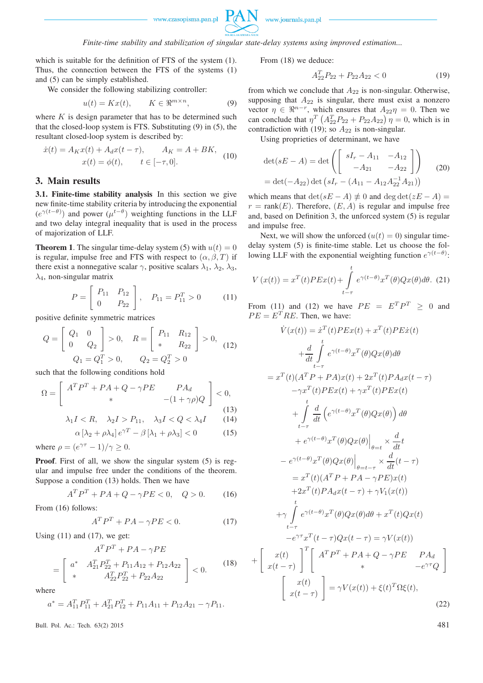

*Finite-time stability and stabilization of singular state-delay systems using improved estimation...*

which is suitable for the definition of FTS of the system (1). Thus, the connection between the FTS of the systems (1) and (5) can be simply established.

We consider the following stabilizing controller:

$$
u(t) = Kx(t), \qquad K \in \mathbb{R}^{m \times n}, \tag{9}
$$

where  $K$  is design parameter that has to be determined such that the closed-loop system is FTS. Substituting (9) in (5), the resultant closed-loop system is described by:

$$
\dot{x}(t) = A_K x(t) + A_d x(t - \tau), \qquad A_K = A + BK,
$$
  
\n
$$
x(t) = \phi(t), \qquad t \in [-\tau, 0].
$$
\n(10)

### **3. Main results**

**3.1. Finite-time stability analysis** In this section we give new finite-time stability criteria by introducing the exponential  $(e^{\gamma(t-\theta)})$  and power  $(\mu^{t-\theta})$  weighting functions in the LLF and two delay integral inequality that is used in the process of majorization of LLF.

**Theorem 1.** The singular time-delay system (5) with  $u(t) = 0$ is regular, impulse free and FTS with respect to  $(\alpha, \beta, T)$  if there exist a nonnegative scalar  $\gamma$ , positive scalars  $\lambda_1$ ,  $\lambda_2$ ,  $\lambda_3$ ,  $\lambda_4$ , non-singular matrix

$$
P = \begin{bmatrix} P_{11} & P_{12} \\ 0 & P_{22} \end{bmatrix}, \quad P_{11} = P_{11}^T > 0 \quad (11)
$$

positive definite symmetric matrices

$$
Q = \begin{bmatrix} Q_1 & 0 \\ 0 & Q_2 \end{bmatrix} > 0, \quad R = \begin{bmatrix} P_{11} & R_{12} \\ * & R_{22} \end{bmatrix} > 0, \quad Q_1 = Q_1^T > 0, \quad Q_2 = Q_2^T > 0
$$
 (12)

such that the following conditions hold

$$
\Omega = \left[ \begin{array}{cc} A^T P^T + P A + Q - \gamma P E & P A_d \\ * & -(1 + \gamma \rho) Q \end{array} \right] < 0,
$$
\n(13)

$$
\lambda_1 I < R, \quad \lambda_2 I > P_{11}, \quad \lambda_3 I < Q < \lambda_4 I \tag{14}
$$

$$
\alpha \left[ \lambda_2 + \rho \lambda_4 \right] e^{\gamma T} - \beta \left[ \lambda_1 + \rho \lambda_3 \right] < 0 \tag{15}
$$

where  $\rho = (e^{\gamma \tau} - 1)/\gamma \ge 0$ .

**Proof.** First of all, we show the singular system (5) is regular and impulse free under the conditions of the theorem. Suppose a condition (13) holds. Then we have

$$
A^T P^T + P A + Q - \gamma P E < 0, \quad Q > 0. \tag{16}
$$

From (16) follows:

$$
A^T P^T + P A - \gamma P E < 0. \tag{17}
$$

 $+$ 

Using  $(11)$  and  $(17)$ , we get:

$$
A^T P^T + P A - \gamma P E
$$
  
= 
$$
\begin{bmatrix} a^* & A_{21}^T P_{22}^T + P_{11} A_{12} + P_{12} A_{22} \\ * & A_{22}^T P_{22}^T + P_{22} A_{22} \end{bmatrix} < 0.
$$
 (18)

where

=

$$
a^* = A_{11}^T P_{11}^T + A_{21}^T P_{12}^T + P_{11}A_{11} + P_{12}A_{21} - \gamma P_{11}.
$$

Bull. Pol. Ac.: Tech. 63(2) 2015 481

From (18) we deduce:

$$
A_{22}^T P_{22} + P_{22} A_{22} < 0 \tag{19}
$$

from which we conclude that  $A_{22}$  is non-singular. Otherwise, supposing that  $A_{22}$  is singular, there must exist a nonzero vector  $\eta \in \mathbb{R}^{n-r}$ , which ensures that  $A_{22}\eta = 0$ . Then we can conclude that  $\eta^T (A_{22}^T P_{22} + P_{22} A_{22}) \eta = 0$ , which is in contradiction with (19); so  $A_{22}$  is non-singular.

Using proprieties of determinant, we have

$$
\det(sE - A) = \det \begin{pmatrix} sI_r - A_{11} & -A_{12} \\ -A_{21} & -A_{22} \end{pmatrix}
$$
  
=  $\det(-A_{22}) \det (sI_r - (A_{11} - A_{12}A_{22}^{-1}A_{21}))$  (20)

which means that  $\det(sE - A) \neq 0$  and  $\deg \det(zE - A) =$  $r = \text{rank}(E)$ . Therefore,  $(E, A)$  is regular and impulse free and, based on Definition 3, the unforced system (5) is regular and impulse free.

Next, we will show the unforced  $(u(t) = 0)$  singular timedelay system (5) is finite-time stable. Let us choose the following LLF with the exponential weighting function  $e^{\gamma(t-\theta)}$ :

$$
V(x(t)) = x^{T}(t)PEx(t) + \int_{t-\tau}^{t} e^{\gamma(t-\theta)} x^{T}(\theta)Qx(\theta)d\theta.
$$
 (21)

From (11) and (12) we have  $PE = E^T P^T \ge 0$  and  $PE = E<sup>T</sup> RE$ . Then, we have:

$$
\dot{V}(x(t)) = \dot{x}^{T}(t)PEx(t) + x^{T}(t)PE\dot{x}(t)
$$
\n
$$
+ \frac{d}{dt} \int_{t-\tau}^{t} e^{\gamma(t-\theta)}x^{T}(\theta)Qx(\theta)d\theta
$$
\n
$$
= x^{T}(t)(A^{T}P + PA)x(t) + 2x^{T}(t)PA_{d}x(t-\tau)
$$
\n
$$
- \gamma x^{T}(t)PEx(t) + \gamma x^{T}(t)PEx(t)
$$
\n
$$
+ \int_{t-\tau}^{t} \frac{d}{dt} (e^{\gamma(t-\theta)}x^{T}(\theta)Qx(\theta)) d\theta
$$
\n
$$
+ e^{\gamma(t-\theta)}x^{T}(\theta)Qx(\theta)|_{\theta=t} \times \frac{d}{dt}t
$$
\n
$$
- e^{\gamma(t-\theta)}x^{T}(\theta)Qx(\theta)|_{\theta=t-\tau} \times \frac{d}{dt}(t-\tau)
$$
\n
$$
= x^{T}(t)(A^{T}P + PA - \gamma PE)x(t)
$$
\n
$$
+ 2x^{T}(t)PA_{d}x(t-\tau) + \gamma V_{1}(x(t))
$$
\n
$$
+ \gamma \int_{t-\tau}^{t} e^{\gamma(t-\theta)}x^{T}(\theta)Qx(\theta)d\theta + x^{T}(t)Qx(t)
$$
\n
$$
- e^{\gamma\tau}x^{T}(t-\tau)Qx(t-\tau) = \gamma V(x(t))
$$
\n
$$
\begin{bmatrix} x(t) \\ x(t-\tau) \end{bmatrix}^{T} \begin{bmatrix} A^{T}P^{T} + PA + Q - \gamma PE & PA_{d} \\ * & -e^{\gamma\tau}Q \end{bmatrix}
$$
\n
$$
\begin{bmatrix} x(t) \\ x(t-\tau) \end{bmatrix} = \gamma V(x(t)) + \xi(t)^{T} \Omega \xi(t), \qquad (22)
$$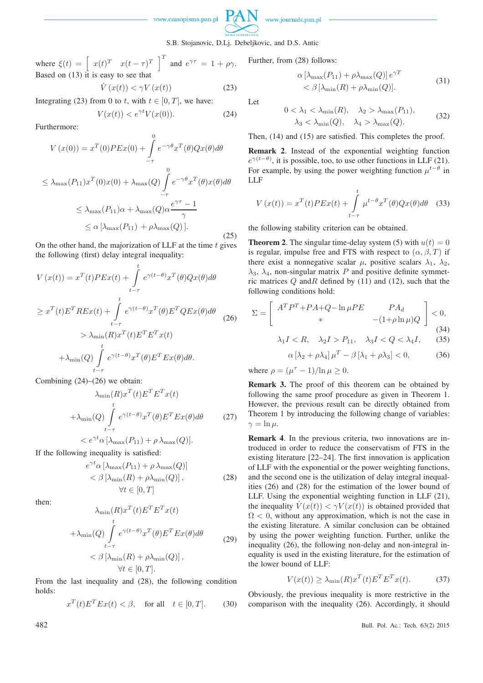



S.B. Stojanovic, D.Lj. Debeljkovic, and D.S. Antic

where  $\xi(t) = \begin{bmatrix} x(t)^T & x(t-\tau)^T \end{bmatrix}^T$  and  $e^{\gamma \tau} = 1 + \rho \gamma$ . Based on  $(13)$  it is easy to see that

$$
\dot{V}\left(x(t)\right) < \gamma V\left(x(t)\right) \tag{23}
$$

Integrating (23) from 0 to t, with  $t \in [0, T]$ , we have:

$$
V(x(t)) < e^{\gamma t} V(x(0)).\tag{24}
$$

Furthermore:

$$
V(x(0)) = x^{T}(0)PEx(0) + \int_{-\tau}^{0} e^{-\gamma \theta} x^{T}(\theta) Qx(\theta) d\theta
$$
  
\n
$$
\leq \lambda_{\max}(P_{11}) x^{T}(0) x(0) + \lambda_{\max}(Q) \int_{-\tau}^{0} e^{-\gamma \theta} x^{T}(\theta) x(\theta) d\theta
$$
  
\n
$$
\leq \lambda_{\max}(P_{11}) \alpha + \lambda_{\max}(Q) \alpha \frac{e^{\gamma \tau} - 1}{\gamma}
$$
  
\n
$$
\leq \alpha \left[ \lambda_{\max}(P_{11}) + \rho \lambda_{\max}(Q) \right].
$$
\n(25)

On the other hand, the majorization of LLF at the time  $t$  gives the following (first) delay integral inequality:

$$
V(x(t)) = x^{T}(t)PEx(t) + \int_{t-\tau}^{t} e^{\gamma(t-\theta)}x^{T}(\theta)Qx(\theta)d\theta
$$
  
\n
$$
\geq x^{T}(t)E^{T}REx(t) + \int_{t-\tau}^{t} e^{\gamma(t-\theta)}x^{T}(\theta)E^{T}QEx(\theta)d\theta
$$
  
\n
$$
> \lambda_{\min}(R)x^{T}(t)E^{T}E^{T}x(t)
$$
  
\n
$$
+ \lambda_{\min}(Q)\int_{t-\tau}^{t} e^{\gamma(t-\theta)}x^{T}(\theta)E^{T}Ex(\theta)d\theta.
$$
 (26)

Combining  $(24)$ – $(26)$  we obtain:

$$
\lambda_{\min}(R)x^{T}(t)E^{T}E^{T}x(t)
$$

$$
+\lambda_{\min}(Q)\int_{t-\tau}^{t}e^{\gamma(t-\theta)}x^{T}(\theta)E^{T}Ex(\theta)d\theta
$$
(27)
$$

$$

If the following inequality is satisfied:

$$
e^{\gamma t} \alpha \left[ \lambda_{\max}(P_{11}) + \rho \lambda_{\max}(Q) \right] < \beta \left[ \lambda_{\min}(R) + \rho \lambda_{\min}(Q) \right], \qquad (28)
$$
  
 
$$
\forall t \in [0, T]
$$

then:

$$
\lambda_{\min}(R)x^{T}(t)E^{T}E^{T}x(t)
$$
\n
$$
+\lambda_{\min}(Q)\int_{t-\tau}^{t}e^{\gamma(t-\theta)}x^{T}(\theta)E^{T}Ex(\theta)d\theta
$$
\n
$$
<\beta[\lambda_{\min}(R)+\rho\lambda_{\min}(Q)],
$$
\n
$$
\forall t\in[0,T].
$$
\n(29)

From the last inequality and (28), the following condition holds:

$$
x^T(t)E^T Ex(t) < \beta, \quad \text{for all} \quad t \in [0, T]. \tag{30}
$$

Further, from (28) follows:

$$
\alpha \left[ \lambda_{\max}(P_{11}) + \rho \lambda_{\max}(Q) \right] e^{\gamma T}
$$
  

$$
< \beta \left[ \lambda_{\min}(R) + \rho \lambda_{\min}(Q) \right].
$$
 (31)

Let

$$
0 < \lambda_1 < \lambda_{\min}(R), \quad \lambda_2 > \lambda_{\max}(P_{11}),
$$
\n
$$
\lambda_3 < \lambda_{\min}(Q), \quad \lambda_4 > \lambda_{\max}(Q). \tag{32}
$$

Then, (14) and (15) are satisfied. This completes the proof.

**Remark 2**. Instead of the exponential weighting function  $e^{\gamma(t-\theta)}$ , it is possible, too, to use other functions in LLF (21). For example, by using the power weighting function  $\mu^{t-\theta}$  in LLF

$$
V(x(t)) = x^{T}(t)PEx(t) + \int_{t-\tau}^{t} \mu^{t-\theta} x^{T}(\theta)Qx(\theta)d\theta
$$
 (33)

the following stability criterion can be obtained.

**Theorem 2.** The singular time-delay system (5) with  $u(t) = 0$ is regular, impulse free and FTS with respect to  $(\alpha, \beta, T)$  if there exist a nonnegative scalar  $\mu$ , positive scalars  $\lambda_1$ ,  $\lambda_2$ ,  $\lambda_3$ ,  $\lambda_4$ , non-singular matrix P and positive definite symmetric matrices  $Q$  and  $R$  defined by (11) and (12), such that the following conditions hold:

$$
\Sigma = \begin{bmatrix} A^T P^T + P A + Q - \ln \mu P E & P A_d \\ * & -(1 + \rho \ln \mu) Q \end{bmatrix} < 0,
$$
\n(34)

$$
\lambda_1 I < R, \quad \lambda_2 I > P_{11}, \quad \lambda_3 I < Q < \lambda_4 I,\tag{35}
$$

$$
\alpha \left[ \lambda_2 + \rho \lambda_4 \right] \mu^T - \beta \left[ \lambda_1 + \rho \lambda_3 \right] < 0,\tag{36}
$$

where  $\rho = (\mu^{\tau} - 1)/\ln \mu \ge 0$ .

**Remark 3.** The proof of this theorem can be obtained by following the same proof procedure as given in Theorem 1. However, the previous result can be directly obtained from Theorem 1 by introducing the following change of variables:  $\gamma = \ln \mu$ .

**Remark 4**. In the previous criteria, two innovations are introduced in order to reduce the conservatism of FTS in the existing literature [22–24]. The first innovation is application of LLF with the exponential or the power weighting functions, and the second one is the utilization of delay integral inequalities (26) and (28) for the estimation of the lower bound of LLF. Using the exponential weighting function in LLF (21), the inequality  $V(x(t)) < \gamma V(x(t))$  is obtained provided that  $\Omega$  < 0, without any approximation, which is not the case in the existing literature. A similar conclusion can be obtained by using the power weighting function. Further, unlike the inequality (26), the following non-delay and non-integral inequality is used in the existing literature, for the estimation of the lower bound of LLF:

$$
V(x(t)) \ge \lambda_{\min}(R)x^{T}(t)E^{T}E^{T}x(t).
$$
 (37)

Obviously, the previous inequality is more restrictive in the comparison with the inequality (26). Accordingly, it should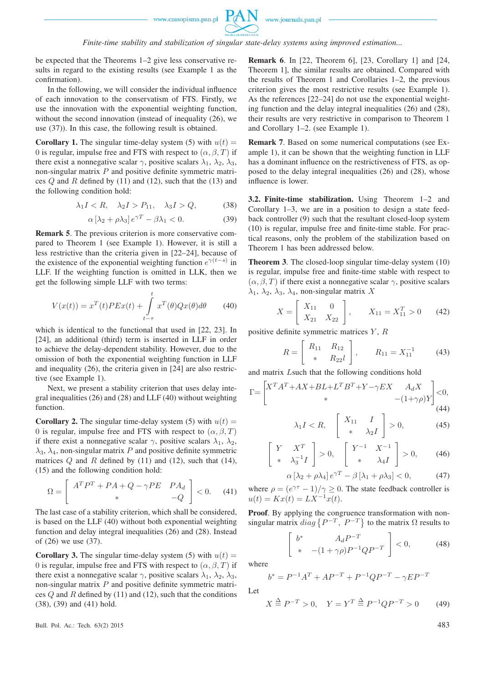

*Finite-time stability and stabilization of singular state-delay systems using improved estimation...*

be expected that the Theorems 1–2 give less conservative results in regard to the existing results (see Example 1 as the confirmation).

In the following, we will consider the individual influence of each innovation to the conservatism of FTS. Firstly, we use the innovation with the exponential weighting function, without the second innovation (instead of inequality (26), we use (37)). In this case, the following result is obtained.

**Corollary 1.** The singular time-delay system (5) with  $u(t) =$ 0 is regular, impulse free and FTS with respect to  $(\alpha, \beta, T)$  if there exist a nonnegative scalar  $\gamma$ , positive scalars  $\lambda_1$ ,  $\lambda_2$ ,  $\lambda_3$ , non-singular matrix P and positive definite symmetric matrices  $Q$  and  $R$  defined by (11) and (12), such that the (13) and the following condition hold:

$$
\lambda_1 I < R, \quad \lambda_2 I > P_{11}, \quad \lambda_3 I > Q,\tag{38}
$$

$$
\alpha \left[ \lambda_2 + \rho \lambda_3 \right] e^{\gamma T} - \beta \lambda_1 < 0. \tag{39}
$$

**Remark 5**. The previous criterion is more conservative compared to Theorem 1 (see Example 1). However, it is still a less restrictive than the criteria given in [22–24], because of the existence of the exponential weighting function  $e^{\gamma(t-s)}$  in LLF. If the weighting function is omitted in LLK, then we get the following simple LLF with two terms:

$$
V(x(t)) = x^{T}(t)PEx(t) + \int_{t-\tau}^{t} x^{T}(\theta)Qx(\theta)d\theta
$$
 (40)

which is identical to the functional that used in [22, 23]. In [24], an additional (third) term is inserted in LLF in order to achieve the delay-dependent stability. However, due to the omission of both the exponential weighting function in LLF and inequality (26), the criteria given in [24] are also restrictive (see Example 1).

Next, we present a stability criterion that uses delay integral inequalities (26) and (28) and LLF (40) without weighting function.

**Corollary 2.** The singular time-delay system (5) with  $u(t) =$ 0 is regular, impulse free and FTS with respect to  $(\alpha, \beta, T)$ if there exist a nonnegative scalar  $\gamma$ , positive scalars  $\lambda_1$ ,  $\lambda_2$ ,  $\lambda_3$ ,  $\lambda_4$ , non-singular matrix P and positive definite symmetric matrices  $Q$  and  $R$  defined by (11) and (12), such that (14), (15) and the following condition hold:

$$
\Omega = \left[ \begin{array}{cc} A^T P^T + P A + Q - \gamma P E & P A_d \\ * & -Q \end{array} \right] < 0. \tag{41}
$$

The last case of a stability criterion, which shall be considered, is based on the LLF (40) without both exponential weighting function and delay integral inequalities (26) and (28). Instead of (26) we use (37).

**Corollary 3.** The singular time-delay system (5) with  $u(t) =$ 0 is regular, impulse free and FTS with respect to  $(\alpha, \beta, T)$  if there exist a nonnegative scalar  $\gamma$ , positive scalars  $\lambda_1$ ,  $\lambda_2$ ,  $\lambda_3$ , non-singular matrix P and positive definite symmetric matrices  $Q$  and  $R$  defined by (11) and (12), such that the conditions (38), (39) and (41) hold.

**Remark 6**. In [22, Theorem 6], [23, Corollary 1] and [24, Theorem 1], the similar results are obtained. Compared with the results of Theorem 1 and Corollaries 1–2, the previous criterion gives the most restrictive results (see Example 1). As the references [22–24] do not use the exponential weighting function and the delay integral inequalities (26) and (28), their results are very restrictive in comparison to Theorem 1 and Corollary 1–2. (see Example 1).

**Remark 7**. Based on some numerical computations (see Example 1), it can be shown that the weighting function in LLF has a dominant influence on the restrictiveness of FTS, as opposed to the delay integral inequalities (26) and (28), whose influence is lower.

**3.2. Finite-time stabilization.** Using Theorem 1–2 and Corollary 1–3, we are in a position to design a state feedback controller (9) such that the resultant closed-loop system (10) is regular, impulse free and finite-time stable. For practical reasons, only the problem of the stabilization based on Theorem 1 has been addressed below.

**Theorem 3**. The closed-loop singular time-delay system (10) is regular, impulse free and finite-time stable with respect to  $(\alpha, \beta, T)$  if there exist a nonnegative scalar  $\gamma$ , positive scalars  $\lambda_1$ ,  $\lambda_2$ ,  $\lambda_3$ ,  $\lambda_4$ , non-singular matrix X

$$
X = \begin{bmatrix} X_{11} & 0 \\ X_{21} & X_{22} \end{bmatrix}, \qquad X_{11} = X_{11}^T > 0 \qquad (42)
$$

positive definite symmetric matrices  $Y$ ,  $R$ 

$$
R = \begin{bmatrix} R_{11} & R_{12} \\ * & R_{22}l \end{bmatrix}, \qquad R_{11} = X_{11}^{-1} \tag{43}
$$

and matrix Lsuch that the following conditions hold

$$
\Gamma = \begin{bmatrix} X^T A^T + AX + BL + L^T B^T + Y - \gamma EX & A_d X \\ * & - (1 + \gamma \rho) Y \end{bmatrix} < 0,
$$
\n(44)

$$
\lambda_1 I < R, \quad \begin{bmatrix} X_{11} & I \\ * & \lambda_2 I \end{bmatrix} > 0,\tag{45}
$$

$$
\left[\begin{array}{cc} Y & X^T \\ * & \lambda_3^{-1}I \end{array}\right] > 0, \quad \left[\begin{array}{cc} Y^{-1} & X^{-1} \\ * & \lambda_4 I \end{array}\right] > 0,\tag{46}
$$

$$
\alpha \left[ \lambda_2 + \rho \lambda_4 \right] e^{\gamma T} - \beta \left[ \lambda_1 + \rho \lambda_3 \right] < 0,\tag{47}
$$

where  $\rho = (e^{\gamma \tau} - 1)/\gamma \ge 0$ . The state feedback controller is  $u(t) = Kx(t) = LX^{-1}x(t).$ 

**Proof**. By applying the congruence transformation with nonsingular matrix  $diag\{P^{-T}, P^{-T}\}\$ to the matrix  $\Omega$  results to

$$
\begin{array}{cc}\n b^* & A_d P^{-T} \\
 * & -(1 + \gamma \rho) P^{-1} Q P^{-T}\n \end{array}\n \bigg] < 0,\n \tag{48}
$$

where

 $\sqrt{ }$ 

$$
b^* = P^{-1}A^T + AP^{-T} + P^{-1}QP^{-T} - \gamma EP^{-T}
$$

Let

$$
X \stackrel{\Delta}{=} P^{-T} > 0, \quad Y = Y^T \stackrel{\Delta}{=} P^{-1}QP^{-T} > 0 \tag{49}
$$

Bull. Pol. Ac.: Tech. 63(2) 2015 483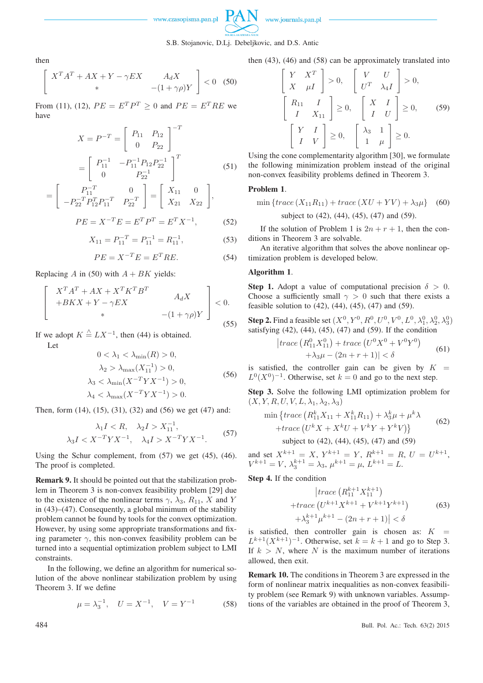

S.B. Stojanovic, D.Lj. Debeljkovic, and D.S. Antic

then

$$
\left[\begin{array}{cc} X^T A^T + AX + Y - \gamma EX & A_d X \\ * & -(1 + \gamma \rho)Y \end{array}\right] < 0 \quad (50)
$$

From (11), (12),  $PE = E^T P^T \ge 0$  and  $PE = E^T RE$  we have

$$
X = P^{-T} = \begin{bmatrix} P_{11} & P_{12} \\ 0 & P_{22} \end{bmatrix}^{-T}
$$

$$
= \begin{bmatrix} P_{11}^{-1} & -P_{11}^{-1}P_{12}P_{22}^{-1} \\ 0 & P_{22}^{-1} \end{bmatrix}^{T}
$$
(51)

$$
= \begin{bmatrix} P_{11}^{-T} & 0 \\ -P_{22}^{-T} P_{12}^{T} P_{11}^{-T} & P_{22}^{-T} \end{bmatrix} = \begin{bmatrix} X_{11} & 0 \\ X_{21} & X_{22} \end{bmatrix},
$$

$$
PE = X^{-T}E = E^{T}P^{T} = E^{T}X^{-1},
$$
 (52)

$$
X_{11} = P_{11}^{-T} = P_{11}^{-1} = R_{11}^{-1},
$$
\n(53)

$$
PE = X^{-T}E = E^{T}RE.
$$
 (54)

Replacing A in (50) with  $A + BK$  yields:

$$
\begin{bmatrix}\nX^T A^T + AX + X^T K^T B^T & A_d X \\
+ B K X + Y - \gamma EX & -(1 + \gamma \rho) Y\n\end{bmatrix} < 0.
$$
\n
$$
(55)
$$

If we adopt  $K \stackrel{\wedge}{=} LX^{-1}$ , then (44) is obtained.

Let

$$
0 < \lambda_1 < \lambda_{\min}(R) > 0,
$$
\n
$$
\lambda_2 > \lambda_{\max}(X_{11}^{-1}) > 0,
$$
\n
$$
\lambda_3 < \lambda_{\min}(X^{-T}YX^{-1}) > 0,
$$
\n
$$
\lambda_4 < \lambda_{\max}(X^{-T}YX^{-1}) > 0.
$$
\n
$$
(56)
$$

Then, form (14), (15), (31), (32) and (56) we get (47) and:

$$
\lambda_1 I < R, \quad \lambda_2 I > X_{11}^{-1},
$$
\n
$$
\lambda_3 I < X^{-T} Y X^{-1}, \quad \lambda_4 I > X^{-T} Y X^{-1}.\tag{57}
$$

Using the Schur complement, from (57) we get (45), (46). The proof is completed.

**Remark 9.** It should be pointed out that the stabilization problem in Theorem 3 is non-convex feasibility problem [29] due to the existence of the nonlinear terms  $\gamma$ ,  $\lambda_3$ ,  $R_{11}$ , X and Y in (43)–(47). Consequently, a global minimum of the stability problem cannot be found by tools for the convex optimization. However, by using some appropriate transformations and fixing parameter  $\gamma$ , this non-convex feasibility problem can be turned into a sequential optimization problem subject to LMI constraints.

In the following, we define an algorithm for numerical solution of the above nonlinear stabilization problem by using Theorem 3. If we define

$$
\mu = \lambda_3^{-1}, \quad U = X^{-1}, \quad V = Y^{-1} \tag{58}
$$

then (43), (46) and (58) can be approximately translated into

$$
\begin{bmatrix} Y & X^T \\ X & \mu I \end{bmatrix} > 0, \quad \begin{bmatrix} V & U \\ U^T & \lambda_4 I \end{bmatrix} > 0, \quad \begin{bmatrix} R_{11} & I \\ I & X_{11} \end{bmatrix} \ge 0, \quad \begin{bmatrix} X & I \\ I & U \end{bmatrix} \ge 0, \quad (59) \quad \begin{bmatrix} Y & I \\ I & V \end{bmatrix} \ge 0, \quad \begin{bmatrix} \lambda_3 & 1 \\ 1 & \mu \end{bmatrix} \ge 0.
$$

Using the cone complementarity algorithm [30], we formulate the following minimization problem instead of the original non-convex feasibility problems defined in Theorem 3.

### **Problem 1**.

$$
\min \{trace(X_{11}R_{11}) + trace(XU + YV) + \lambda_3\mu\} \quad (60)
$$
  
subject to (42), (44), (45), (47) and (59).

If the solution of Problem 1 is  $2n + r + 1$ , then the conditions in Theorem 3 are solvable.

An iterative algorithm that solves the above nonlinear optimization problem is developed below.

#### **Algorithm 1**.

**Step 1.** Adopt a value of computational precision  $\delta > 0$ . Choose a sufficiently small  $\gamma > 0$  such that there exists a feasible solution to (42), (44), (45), (47) and (59).

**Step 2.** Find a feasible set  $(X^0, Y^0, R^0, U^0, V^0, L^0, \lambda_1^0, \lambda_2^0, \lambda_3^0)$ satisfying (42), (44), (45), (47) and (59). If the condition

$$
\begin{aligned} \left| trace\left(R_{11}^{0}X_{11}^{0}\right) + trace\left(U^{0}X^{0} + V^{0}Y^{0}\right) \\ + \lambda_{3}\mu - (2n + r + 1) \right| &< \delta \end{aligned} \tag{61}
$$

is satisfied, the controller gain can be given by  $K =$  $L^{0}(X^{0})^{-1}$ . Otherwise, set  $k = 0$  and go to the next step.

**Step 3.** Solve the following LMI optimization problem for  $(X, Y, R, U, V, L, \lambda_1, \lambda_2, \lambda_3)$ 

$$
\min \left\{ \text{trace} \left( R_{11}^k X_{11} + X_{11}^k R_{11} \right) + \lambda_3^k \mu + \mu^k \lambda + \text{trace} \left( U^k X + X^k U + V^k Y + Y^k V \right) \right\}
$$
\n
$$
\text{subject to (42), (44), (45), (47) and (59)}
$$
\n
$$
(62)
$$

and set  $X^{k+1} = X$ ,  $Y^{k+1} = Y$ ,  $R^{k+1} = R$ ,  $U = U^{k+1}$ ,  $V^{k+1} = V$ ,  $\lambda_3^{k+1} = \lambda_3$ ,  $\mu^{k+1} = \mu$ ,  $L^{k+1} = L$ .

**Step 4.** If the condition

$$
|trace\left(R_{11}^{k+1}X_{11}^{k+1}\right) + trace\left(U^{k+1}X^{k+1} + V^{k+1}Y^{k+1}\right) \qquad (63)
$$

$$
+ \lambda_3^{k+1} \mu^{k+1} - (2n+r+1)| < \delta
$$

is satisfied, then controller gain is chosen as:  $K =$  $L^{k+1}(X^{k+1})^{-1}$ . Otherwise, set  $k = k+1$  and go to Step 3. If  $k > N$ , where N is the maximum number of iterations allowed, then exit.

**Remark 10.** The conditions in Theorem 3 are expressed in the form of nonlinear matrix inequalities as non-convex feasibility problem (see Remark 9) with unknown variables. Assumptions of the variables are obtained in the proof of Theorem 3,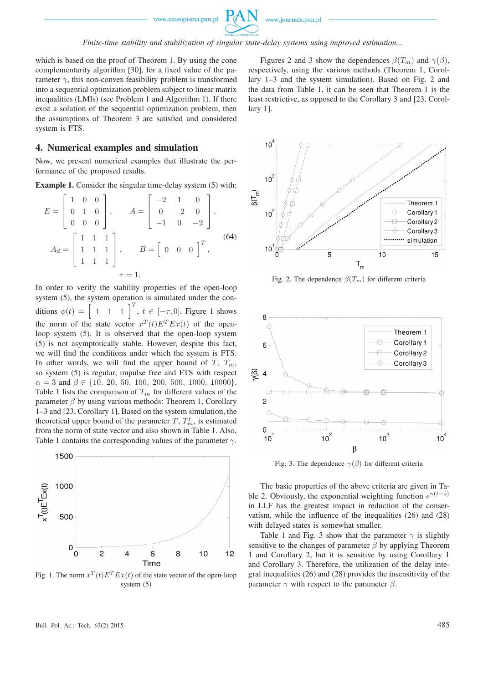

*Finite-time stability and stabilization of singular state-delay systems using improved estimation...*

which is based on the proof of Theorem 1. By using the cone complementarity algorithm [30], for a fixed value of the parameter  $\gamma$ , this non-convex feasibility problem is transformed into a sequential optimization problem subject to linear matrix inequalities (LMIs) (see Problem 1 and Algorithm 1). If there exist a solution of the sequential optimization problem, then the assumptions of Theorem 3 are satisfied and considered system is FTS.

## **4. Numerical examples and simulation**

Now, we present numerical examples that illustrate the performance of the proposed results.

**Example 1.** Consider the singular time-delay system (5) with:

$$
E = \begin{bmatrix} 1 & 0 & 0 \\ 0 & 1 & 0 \\ 0 & 0 & 0 \end{bmatrix}, \qquad A = \begin{bmatrix} -2 & 1 & 0 \\ 0 & -2 & 0 \\ -1 & 0 & -2 \end{bmatrix},
$$
  

$$
A_d = \begin{bmatrix} 1 & 1 & 1 \\ 1 & 1 & 1 \\ 1 & 1 & 1 \end{bmatrix}, \qquad B = \begin{bmatrix} 0 & 0 & 0 \end{bmatrix}^T,
$$
  

$$
\tau = 1.
$$
 (64)

In order to verify the stability properties of the open-loop system (5), the system operation is simulated under the conditions  $\phi(t) = \begin{bmatrix} 1 & 1 & 1 \end{bmatrix}^T$ ,  $t \in [-\tau, 0]$ . Figure 1 shows the norm of the state vector  $x^T(t)E^T E x(t)$  of the openloop system (5). It is observed that the open-loop system (5) is not asymptotically stable. However, despite this fact, we will find the conditions under which the system is FTS. In other words, we will find the upper bound of  $T, T_m$ , so system (5) is regular, impulse free and FTS with respect  $\alpha = 3$  and  $\beta \in \{10, 20, 50, 100, 200, 500, 1000, 10000\}.$ Table 1 lists the comparison of  $T_m$  for different values of the parameter  $\beta$  by using various methods: Theorem 1, Corollary 1–3 and [23, Corollary 1]. Based on the system simulation, the theoretical upper bound of the parameter  $T, T_m^t$ , is estimated from the norm of state vector and also shown in Table 1. Also, Table 1 contains the corresponding values of the parameter  $\gamma$ .



Fig. 1. The norm  $x^T(t)E^T E x(t)$  of the state vector of the open-loop system (5)

Figures 2 and 3 show the dependences  $\beta(T_m)$  and  $\gamma(\beta)$ , respectively, using the various methods (Theorem 1, Corollary 1–3 and the system simulation). Based on Fig. 2 and the data from Table 1, it can be seen that Theorem 1 is the least restrictive, as opposed to the Corollary 3 and [23, Corollary 1].



Fig. 2. The dependence  $\beta(T_m)$  for different criteria



Fig. 3. The dependence  $\gamma(\beta)$  for different criteria

The basic properties of the above criteria are given in Table 2. Obviously, the exponential weighting function  $e^{\gamma(t-s)}$ in LLF has the greatest impact in reduction of the conservatism, while the influence of the inequalities (26) and (28) with delayed states is somewhat smaller.

Table 1 and Fig. 3 show that the parameter  $\gamma$  is slightly sensitive to the changes of parameter  $\beta$  by applying Theorem 1 and Corollary 2, but it is sensitive by using Corollary 1 and Corollary 3. Therefore, the utilization of the delay integral inequalities (26) and (28) provides the insensitivity of the parameter  $\gamma$  with respect to the parameter  $\beta$ .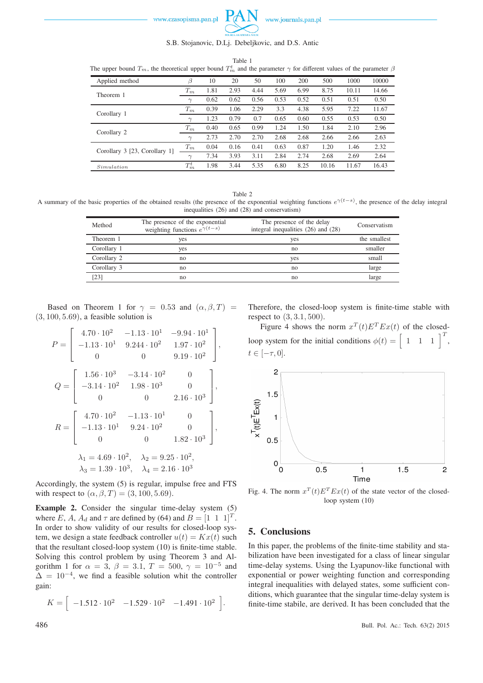www.czasonisma.nan.nl



#### S.B. Stojanovic, D.Lj. Debeljkovic, and D.S. Antic

Table 1

The upper bound  $T_m$ , the theoretical upper bound  $T_m^t$  and the parameter  $\gamma$  for different values of the parameter  $\beta$ 

| Applied method                | ß        | 10   | 20   | 50   | 100  | 200  | 500                                                           | 1000  | 10000 |
|-------------------------------|----------|------|------|------|------|------|---------------------------------------------------------------|-------|-------|
| Theorem 1                     | $T_m$    | 1.81 | 2.93 | 4.44 | 5.69 | 6.99 | 8.75                                                          | 10.11 | 14.66 |
|                               | $\gamma$ | 0.62 | 0.62 | 0.56 | 0.53 | 0.52 | 0.51<br>5.95<br>0.55<br>1.84<br>2.66<br>1.20<br>2.68<br>10.16 | 0.51  | 0.50  |
| Corollary 1                   | $T_m$    | 0.39 | 1.06 | 2.29 | 3.3  | 4.38 |                                                               | 7.22  | 11.67 |
|                               | $\sim$   | 1.23 | 0.79 | 0.7  | 0.65 | 0.60 |                                                               | 0.53  | 0.50  |
| Corollary 2                   | $T_m$    | 0.40 | 0.65 | 0.99 | 1.24 | 1.50 |                                                               | 2.10  | 2.96  |
|                               | $\gamma$ | 2.73 | 2.70 | 2.70 | 2.68 | 2.68 |                                                               | 2.66  | 2.63  |
| Corollary 3 [23, Corollary 1] | $T_m$    | 0.04 | 0.16 | 0.41 | 0.63 | 0.87 |                                                               | 1.46  | 2.32  |
|                               | $\sim$   | 7.34 | 3.93 | 3.11 | 2.84 | 2.74 |                                                               | 2.69  | 2.64  |
| Simulation                    | $T_m^t$  | 1.98 | 3.44 | 5.35 | 6.80 | 8.25 |                                                               | 11.67 | 16.43 |

Table 2

A summary of the basic properties of the obtained results (the presence of the exponential weighting functions  $e^{\gamma(t-s)}$ , the presence of the delay integral inequalities (26) and (28) and conservatism)

| Method      | The presence of the exponential<br>weighting functions $e^{\gamma(t-s)}$ | The presence of the delay<br>integral inequalities $(26)$ and $(28)$ | Conservatism |
|-------------|--------------------------------------------------------------------------|----------------------------------------------------------------------|--------------|
| Theorem 1   | yes                                                                      | yes                                                                  | the smallest |
| Corollary 1 | yes                                                                      | no                                                                   | smaller      |
| Corollary 2 | no                                                                       | yes                                                                  | small        |
| Corollary 3 | no                                                                       | no                                                                   | large        |
| [23]        | no                                                                       | no                                                                   | large        |

Based on Theorem 1 for  $\gamma = 0.53$  and  $(\alpha, \beta, T) =$ (3, 100, 5.69), a feasible solution is

$$
P = \begin{bmatrix} 4.70 \cdot 10^{2} & -1.13 \cdot 10^{1} & -9.94 \cdot 10^{1} \\ -1.13 \cdot 10^{1} & 9.244 \cdot 10^{2} & 1.97 \cdot 10^{2} \\ 0 & 0 & 9.19 \cdot 10^{2} \end{bmatrix},
$$
  
\n
$$
Q = \begin{bmatrix} 1.56 \cdot 10^{3} & -3.14 \cdot 10^{2} & 0 \\ -3.14 \cdot 10^{2} & 1.98 \cdot 10^{3} & 0 \\ 0 & 0 & 2.16 \cdot 10^{3} \end{bmatrix},
$$
  
\n
$$
R = \begin{bmatrix} 4.70 \cdot 10^{2} & -1.13 \cdot 10^{1} & 0 \\ -1.13 \cdot 10^{1} & 9.24 \cdot 10^{2} & 0 \\ 0 & 0 & 1.82 \cdot 10^{3} \end{bmatrix},
$$
  
\n
$$
\lambda_{1} = 4.69 \cdot 10^{2}, \quad \lambda_{2} = 9.25 \cdot 10^{2},
$$
  
\n
$$
\lambda_{3} = 1.39 \cdot 10^{3}, \quad \lambda_{4} = 2.16 \cdot 10^{3}
$$

Accordingly, the system (5) is regular, impulse free and FTS with respect to  $(\alpha, \beta, T) = (3, 100, 5.69)$ .

**Example 2.** Consider the singular time-delay system (5) where E, A,  $A_d$  and  $\tau$  are defined by (64) and  $B = \begin{bmatrix} 1 & 1 & 1 \end{bmatrix}^T$ . In order to show validity of our results for closed-loop system, we design a state feedback controller  $u(t) = Kx(t)$  such that the resultant closed-loop system (10) is finite-time stable. Solving this control problem by using Theorem 3 and Algorithm 1 for  $\alpha = 3$ ,  $\beta = 3.1$ ,  $T = 500$ ,  $\gamma = 10^{-5}$  and  $\Delta = 10^{-4}$ , we find a feasible solution whit the controller gain:

$$
K = \begin{bmatrix} -1.512 \cdot 10^2 & -1.529 \cdot 10^2 & -1.491 \cdot 10^2 \end{bmatrix}.
$$

Therefore, the closed-loop system is finite-time stable with respect to (3, 3.1, 500).

Figure 4 shows the norm  $x^T(t)E^T E x(t)$  of the closedloop system for the initial conditions  $\phi(t) = \begin{bmatrix} 1 & 1 & 1 \end{bmatrix}^T$ ,  $t \in [-\tau, 0].$ 



Fig. 4. The norm  $x^T(t)E^T E x(t)$  of the state vector of the closedloop system (10)

# **5. Conclusions**

In this paper, the problems of the finite-time stability and stabilization have been investigated for a class of linear singular time-delay systems. Using the Lyapunov-like functional with exponential or power weighting function and corresponding integral inequalities with delayed states, some sufficient conditions, which guarantee that the singular time-delay system is finite-time stabile, are derived. It has been concluded that the